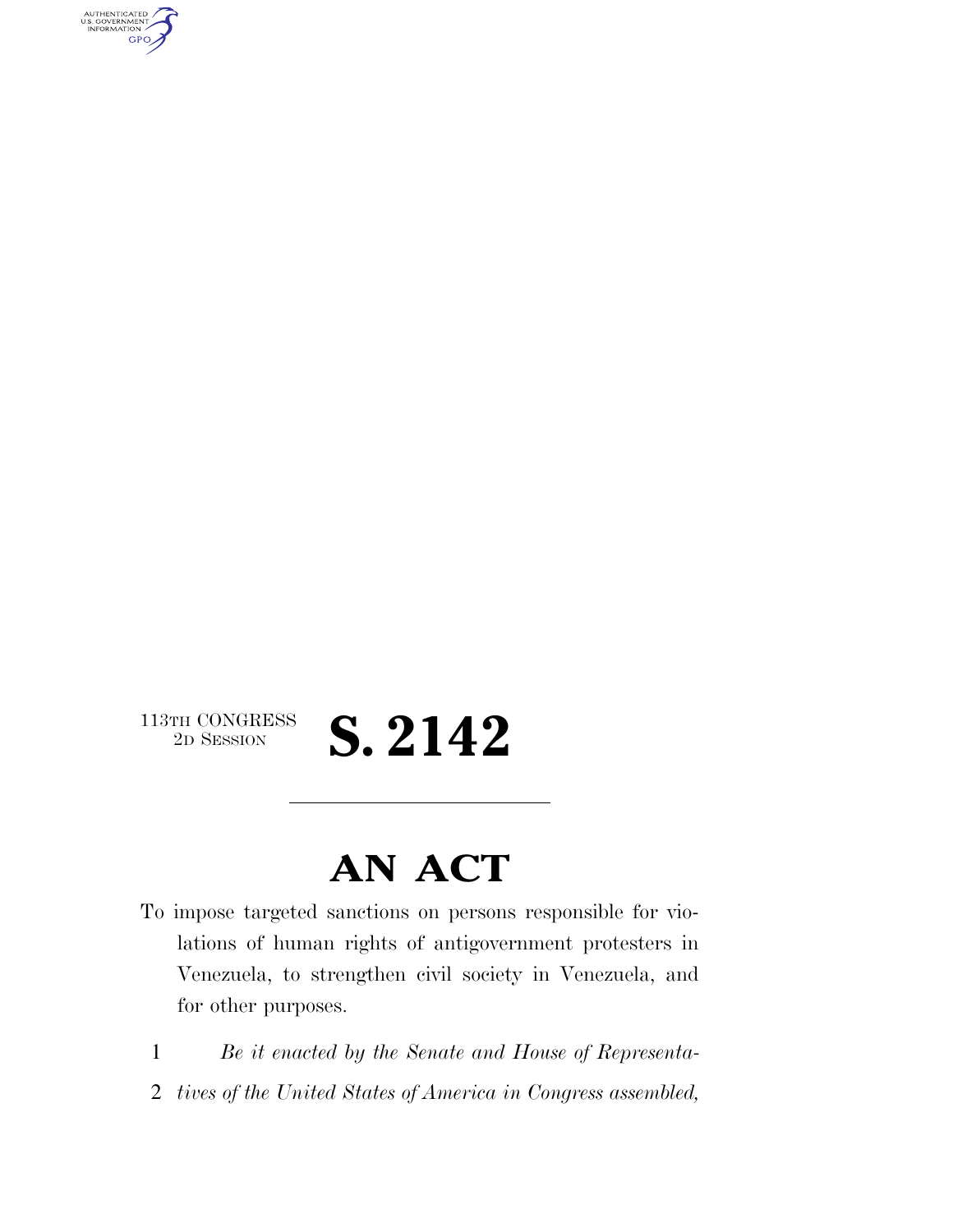AUTHENTICATED<br>U.S. GOVERNMENT<br>INFORMATION **GPO** 

### 113TH CONGRESS<br>2D SESSION 2D SESSION **S. 2142**

### **AN ACT**

- To impose targeted sanctions on persons responsible for violations of human rights of antigovernment protesters in Venezuela, to strengthen civil society in Venezuela, and for other purposes.
	- 1 *Be it enacted by the Senate and House of Representa-*
- 2 *tives of the United States of America in Congress assembled,*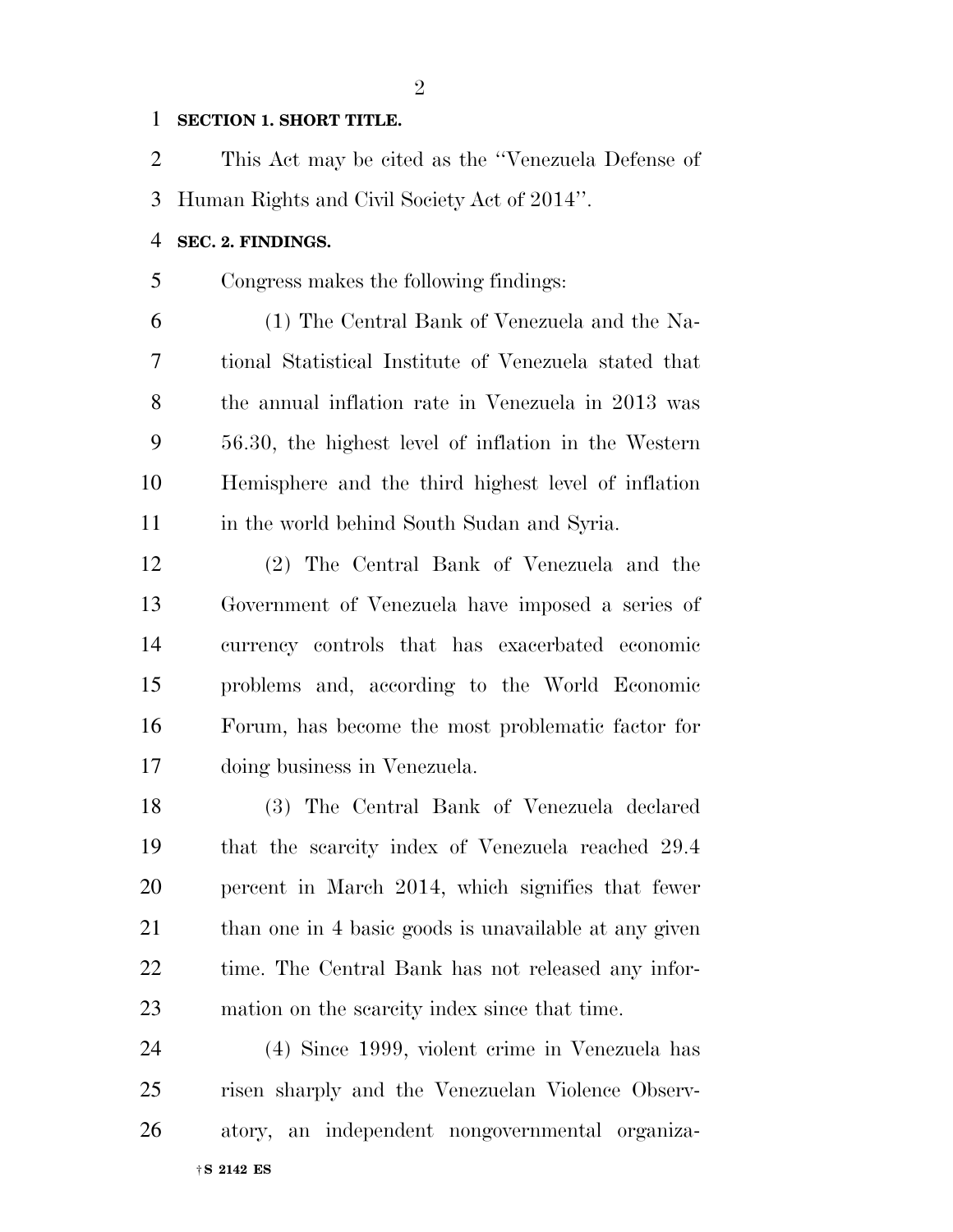#### **SECTION 1. SHORT TITLE.**

 This Act may be cited as the ''Venezuela Defense of Human Rights and Civil Society Act of 2014''.

#### **SEC. 2. FINDINGS.**

Congress makes the following findings:

 (1) The Central Bank of Venezuela and the Na- tional Statistical Institute of Venezuela stated that the annual inflation rate in Venezuela in 2013 was 56.30, the highest level of inflation in the Western Hemisphere and the third highest level of inflation in the world behind South Sudan and Syria.

 (2) The Central Bank of Venezuela and the Government of Venezuela have imposed a series of currency controls that has exacerbated economic problems and, according to the World Economic Forum, has become the most problematic factor for doing business in Venezuela.

 (3) The Central Bank of Venezuela declared that the scarcity index of Venezuela reached 29.4 percent in March 2014, which signifies that fewer 21 than one in 4 basic goods is unavailable at any given time. The Central Bank has not released any infor-mation on the scarcity index since that time.

†**S 2142 ES** (4) Since 1999, violent crime in Venezuela has risen sharply and the Venezuelan Violence Observ-atory, an independent nongovernmental organiza-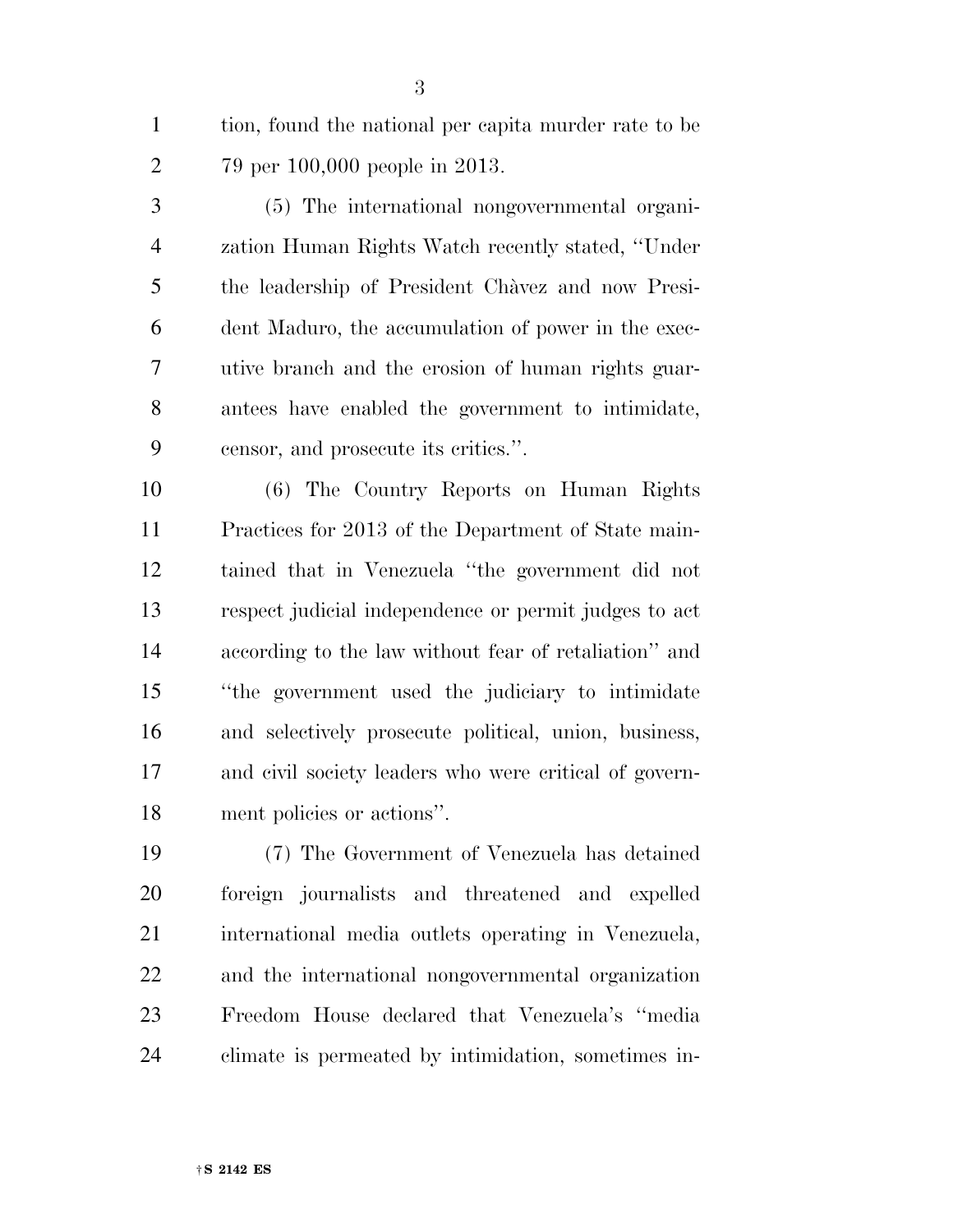tion, found the national per capita murder rate to be 79 per 100,000 people in 2013.

 (5) The international nongovernmental organi- zation Human Rights Watch recently stated, ''Under 5 the leadership of President Chavez and now Presi- dent Maduro, the accumulation of power in the exec- utive branch and the erosion of human rights guar- antees have enabled the government to intimidate, censor, and prosecute its critics.''.

 (6) The Country Reports on Human Rights Practices for 2013 of the Department of State main- tained that in Venezuela ''the government did not respect judicial independence or permit judges to act according to the law without fear of retaliation'' and ''the government used the judiciary to intimidate and selectively prosecute political, union, business, and civil society leaders who were critical of govern-ment policies or actions''.

 (7) The Government of Venezuela has detained foreign journalists and threatened and expelled international media outlets operating in Venezuela, and the international nongovernmental organization Freedom House declared that Venezuela's ''media climate is permeated by intimidation, sometimes in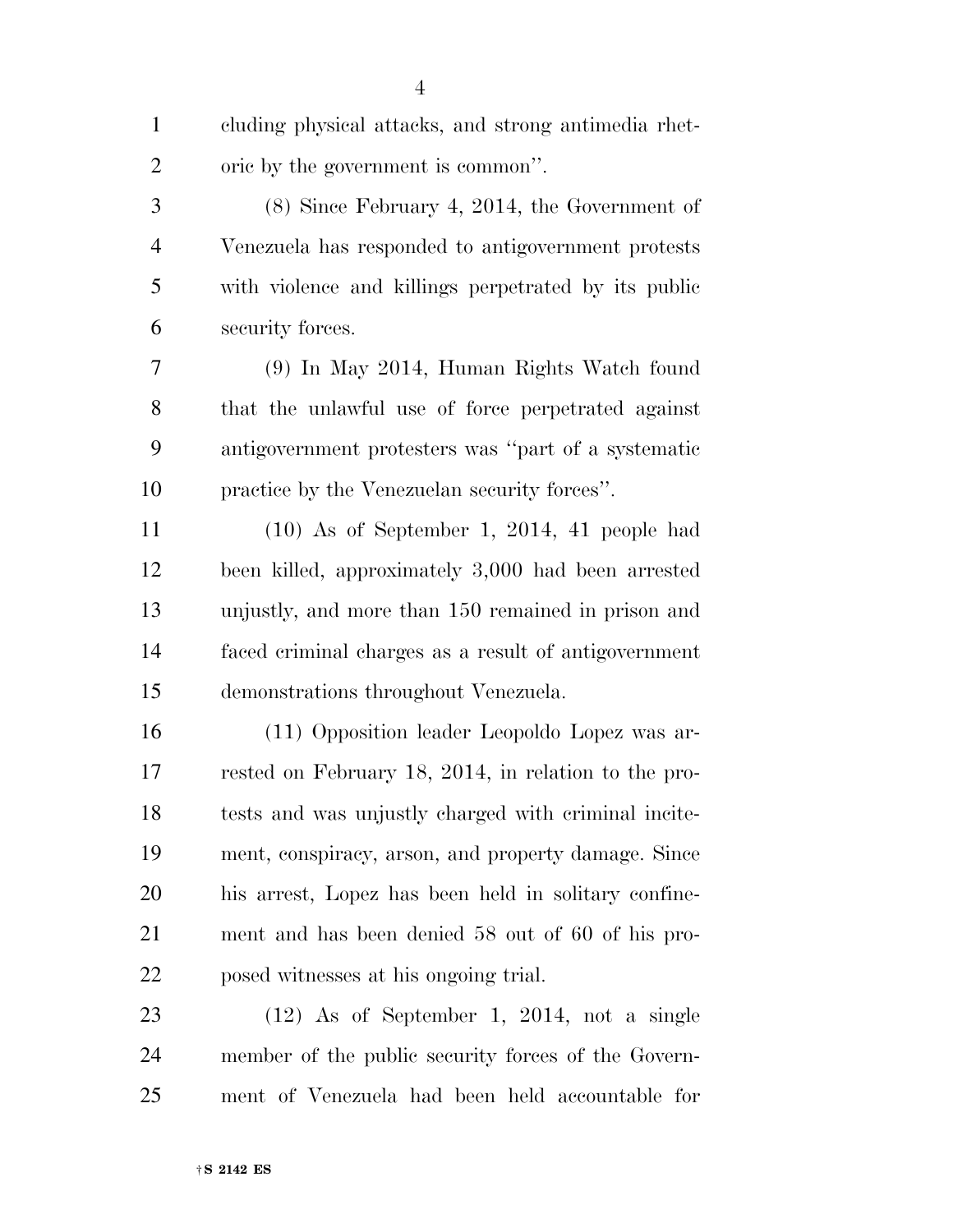cluding physical attacks, and strong antimedia rhet-oric by the government is common''.

 (8) Since February 4, 2014, the Government of Venezuela has responded to antigovernment protests with violence and killings perpetrated by its public security forces.

 (9) In May 2014, Human Rights Watch found that the unlawful use of force perpetrated against antigovernment protesters was ''part of a systematic practice by the Venezuelan security forces''.

 (10) As of September 1, 2014, 41 people had been killed, approximately 3,000 had been arrested unjustly, and more than 150 remained in prison and faced criminal charges as a result of antigovernment demonstrations throughout Venezuela.

 (11) Opposition leader Leopoldo Lopez was ar- rested on February 18, 2014, in relation to the pro- tests and was unjustly charged with criminal incite- ment, conspiracy, arson, and property damage. Since his arrest, Lopez has been held in solitary confine- ment and has been denied 58 out of 60 of his pro-posed witnesses at his ongoing trial.

 (12) As of September 1, 2014, not a single member of the public security forces of the Govern-ment of Venezuela had been held accountable for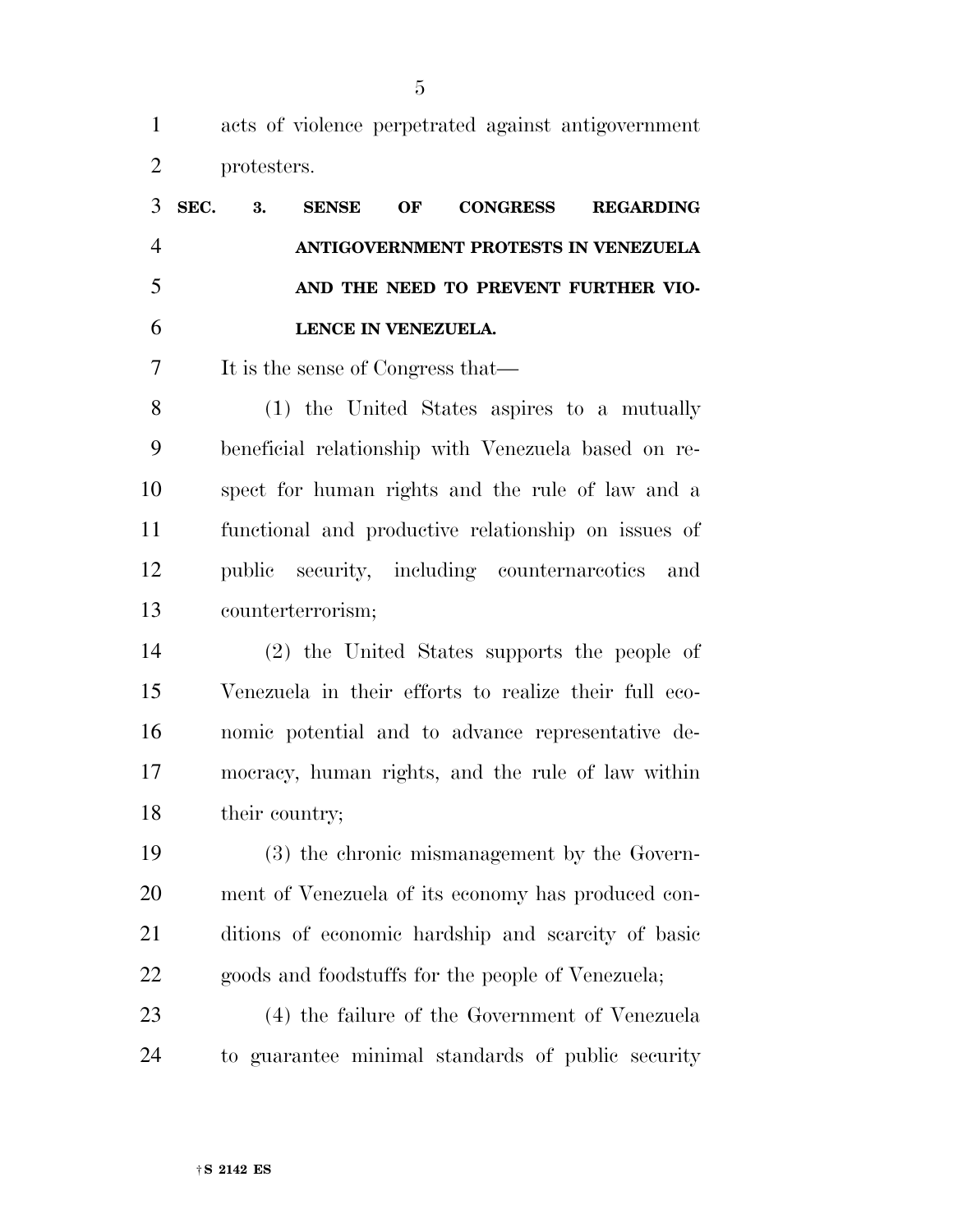acts of violence perpetrated against antigovernment protesters.

| SEC. | 3. | <b>SENSE</b>                      | OF | <b>CONGRESS</b>                      | <b>REGARDING</b> |
|------|----|-----------------------------------|----|--------------------------------------|------------------|
|      |    |                                   |    | ANTIGOVERNMENT PROTESTS IN VENEZUELA |                  |
|      |    |                                   |    | AND THE NEED TO PREVENT FURTHER VIO- |                  |
|      |    | LENCE IN VENEZUELA.               |    |                                      |                  |
|      |    | It is the sense of Congress that— |    |                                      |                  |

 (1) the United States aspires to a mutually beneficial relationship with Venezuela based on re- spect for human rights and the rule of law and a functional and productive relationship on issues of public security, including counternarcotics and counterterrorism;

 (2) the United States supports the people of Venezuela in their efforts to realize their full eco- nomic potential and to advance representative de- mocracy, human rights, and the rule of law within 18 their country;

 (3) the chronic mismanagement by the Govern- ment of Venezuela of its economy has produced con- ditions of economic hardship and scarcity of basic goods and foodstuffs for the people of Venezuela;

 (4) the failure of the Government of Venezuela to guarantee minimal standards of public security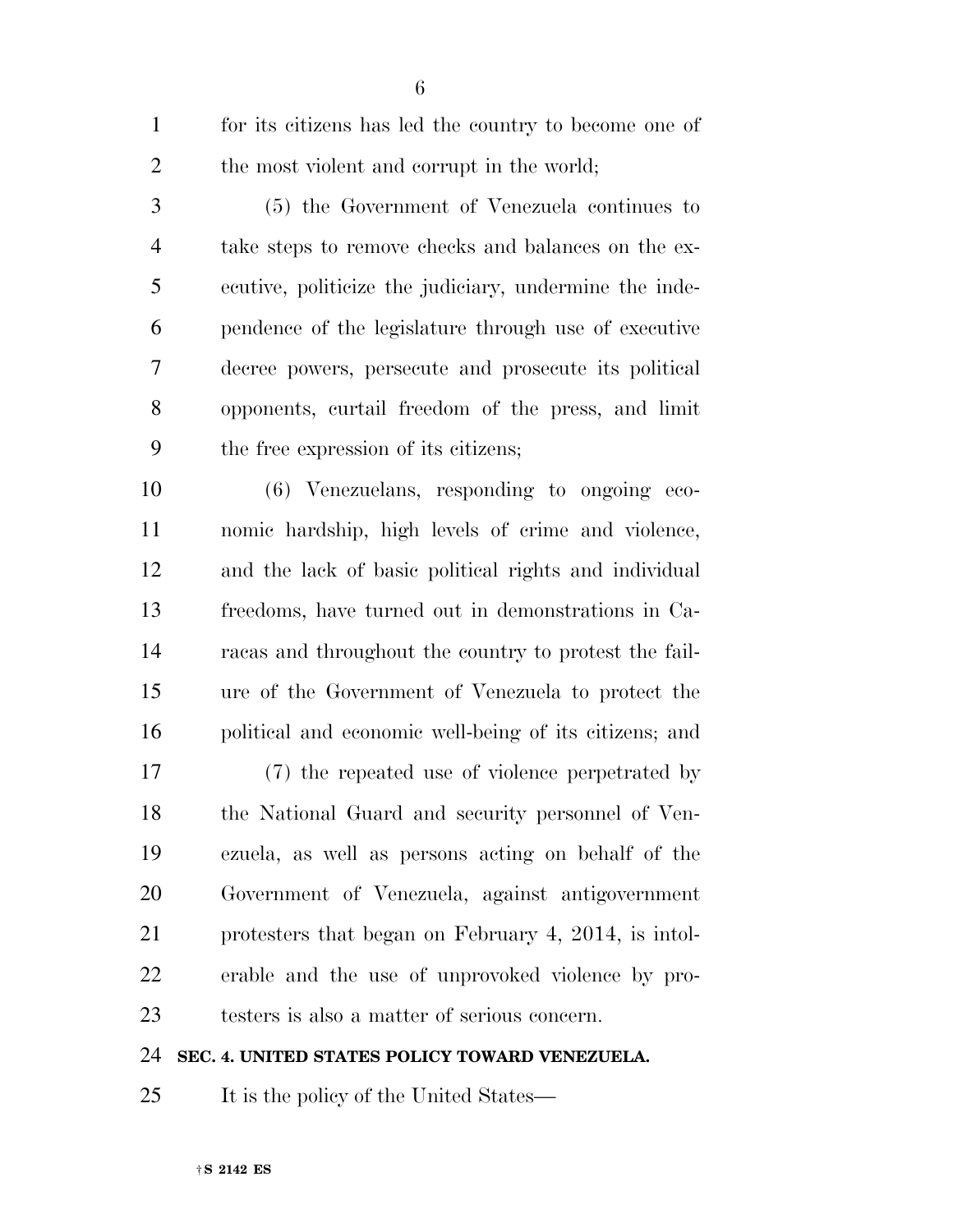for its citizens has led the country to become one of 2 the most violent and corrupt in the world;

 (5) the Government of Venezuela continues to take steps to remove checks and balances on the ex- ecutive, politicize the judiciary, undermine the inde- pendence of the legislature through use of executive decree powers, persecute and prosecute its political opponents, curtail freedom of the press, and limit the free expression of its citizens;

 (6) Venezuelans, responding to ongoing eco- nomic hardship, high levels of crime and violence, and the lack of basic political rights and individual freedoms, have turned out in demonstrations in Ca- racas and throughout the country to protest the fail- ure of the Government of Venezuela to protect the political and economic well-being of its citizens; and

 (7) the repeated use of violence perpetrated by the National Guard and security personnel of Ven- ezuela, as well as persons acting on behalf of the Government of Venezuela, against antigovernment protesters that began on February 4, 2014, is intol- erable and the use of unprovoked violence by pro-testers is also a matter of serious concern.

#### **SEC. 4. UNITED STATES POLICY TOWARD VENEZUELA.**

It is the policy of the United States—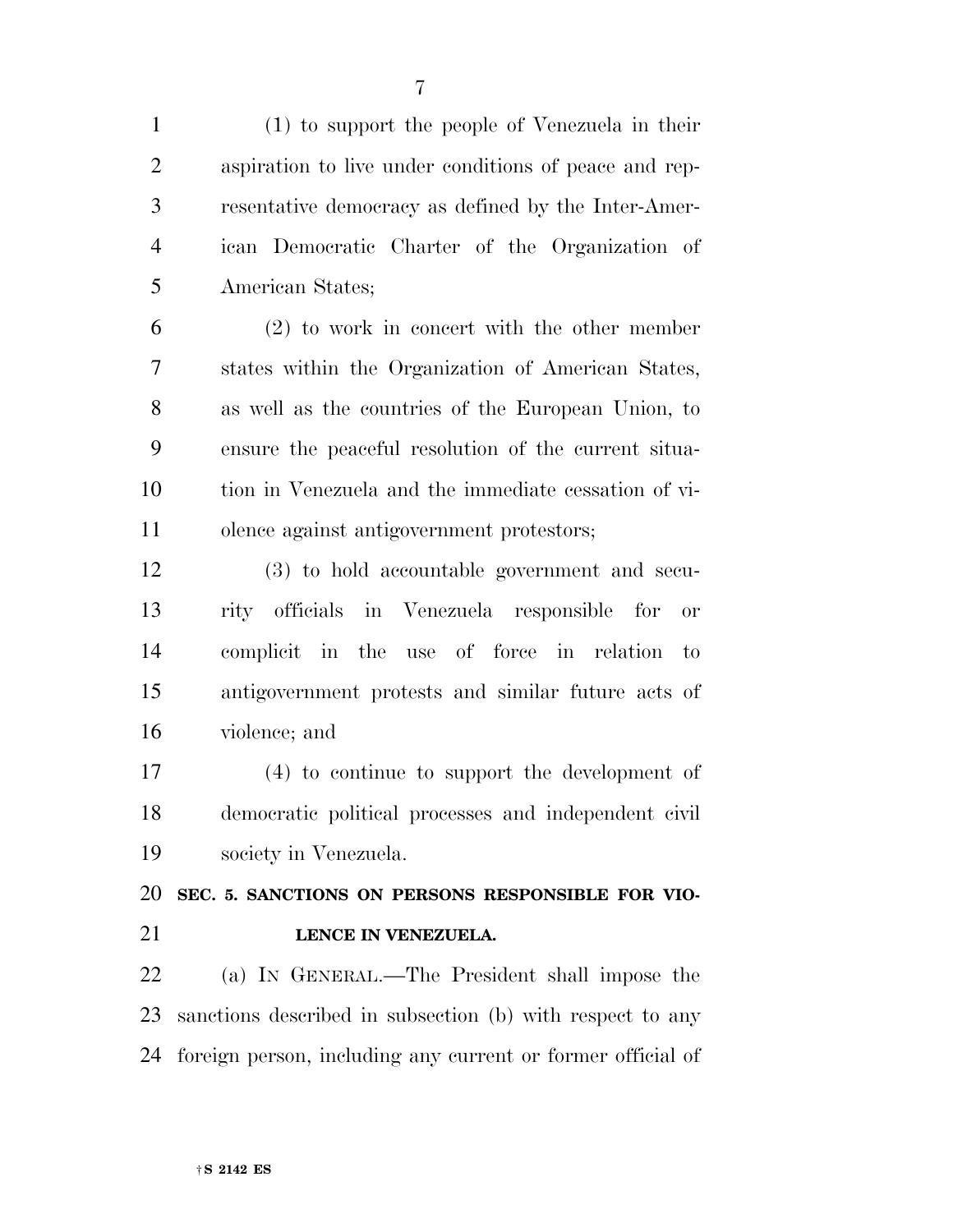(1) to support the people of Venezuela in their aspiration to live under conditions of peace and rep- resentative democracy as defined by the Inter-Amer- ican Democratic Charter of the Organization of American States;

 (2) to work in concert with the other member states within the Organization of American States, as well as the countries of the European Union, to ensure the peaceful resolution of the current situa- tion in Venezuela and the immediate cessation of vi-olence against antigovernment protestors;

 (3) to hold accountable government and secu- rity officials in Venezuela responsible for or complicit in the use of force in relation to antigovernment protests and similar future acts of violence; and

 (4) to continue to support the development of democratic political processes and independent civil society in Venezuela.

 **SEC. 5. SANCTIONS ON PERSONS RESPONSIBLE FOR VIO-LENCE IN VENEZUELA.** 

 (a) IN GENERAL.—The President shall impose the sanctions described in subsection (b) with respect to any foreign person, including any current or former official of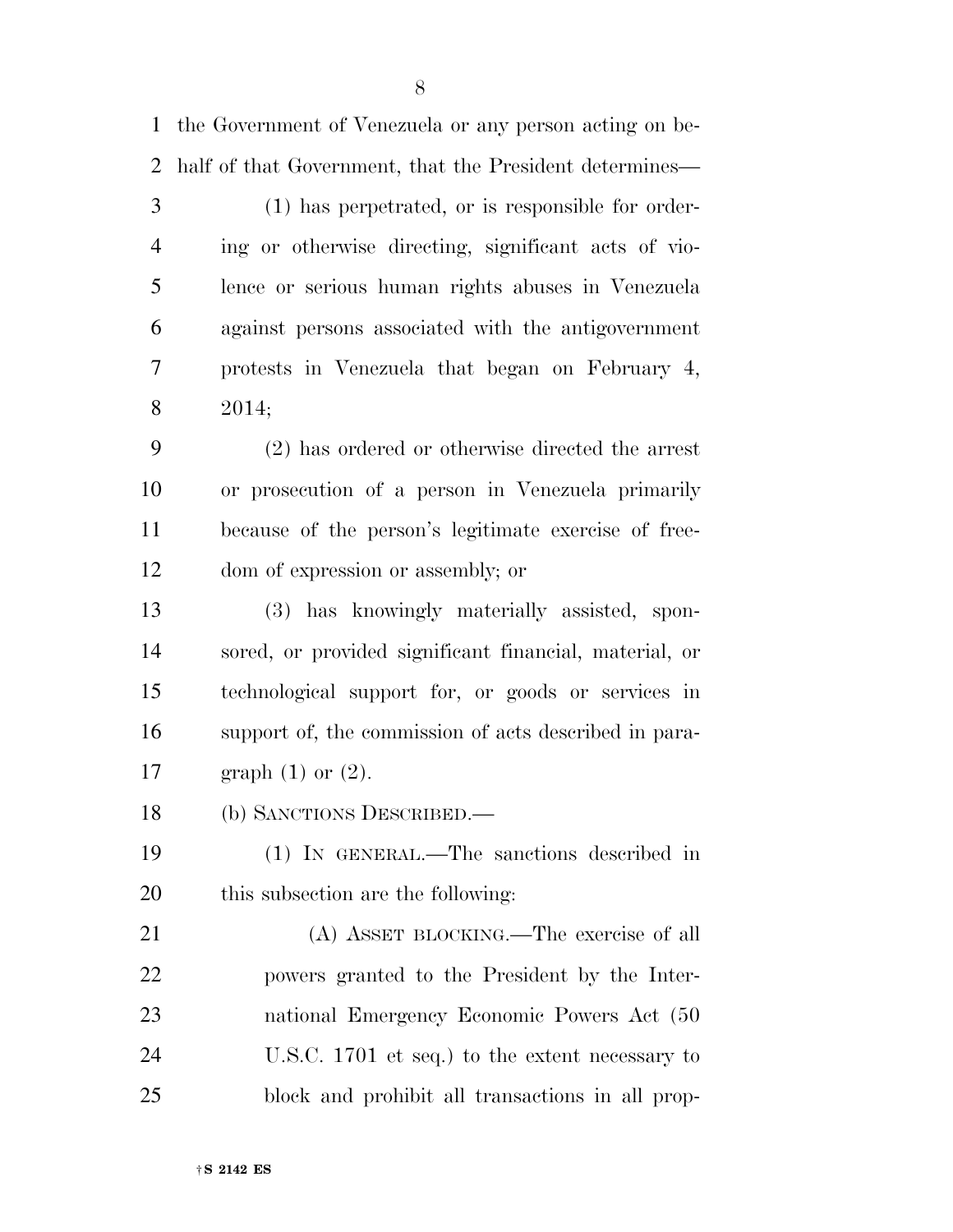the Government of Venezuela or any person acting on be-

half of that Government, that the President determines—

 (1) has perpetrated, or is responsible for order- ing or otherwise directing, significant acts of vio- lence or serious human rights abuses in Venezuela against persons associated with the antigovernment protests in Venezuela that began on February 4, 2014; (2) has ordered or otherwise directed the arrest or prosecution of a person in Venezuela primarily because of the person's legitimate exercise of free- dom of expression or assembly; or (3) has knowingly materially assisted, spon- sored, or provided significant financial, material, or technological support for, or goods or services in support of, the commission of acts described in para- graph (1) or (2). (b) SANCTIONS DESCRIBED.—

 (1) IN GENERAL.—The sanctions described in this subsection are the following:

 (A) ASSET BLOCKING.—The exercise of all powers granted to the President by the Inter- national Emergency Economic Powers Act (50 U.S.C. 1701 et seq.) to the extent necessary to block and prohibit all transactions in all prop-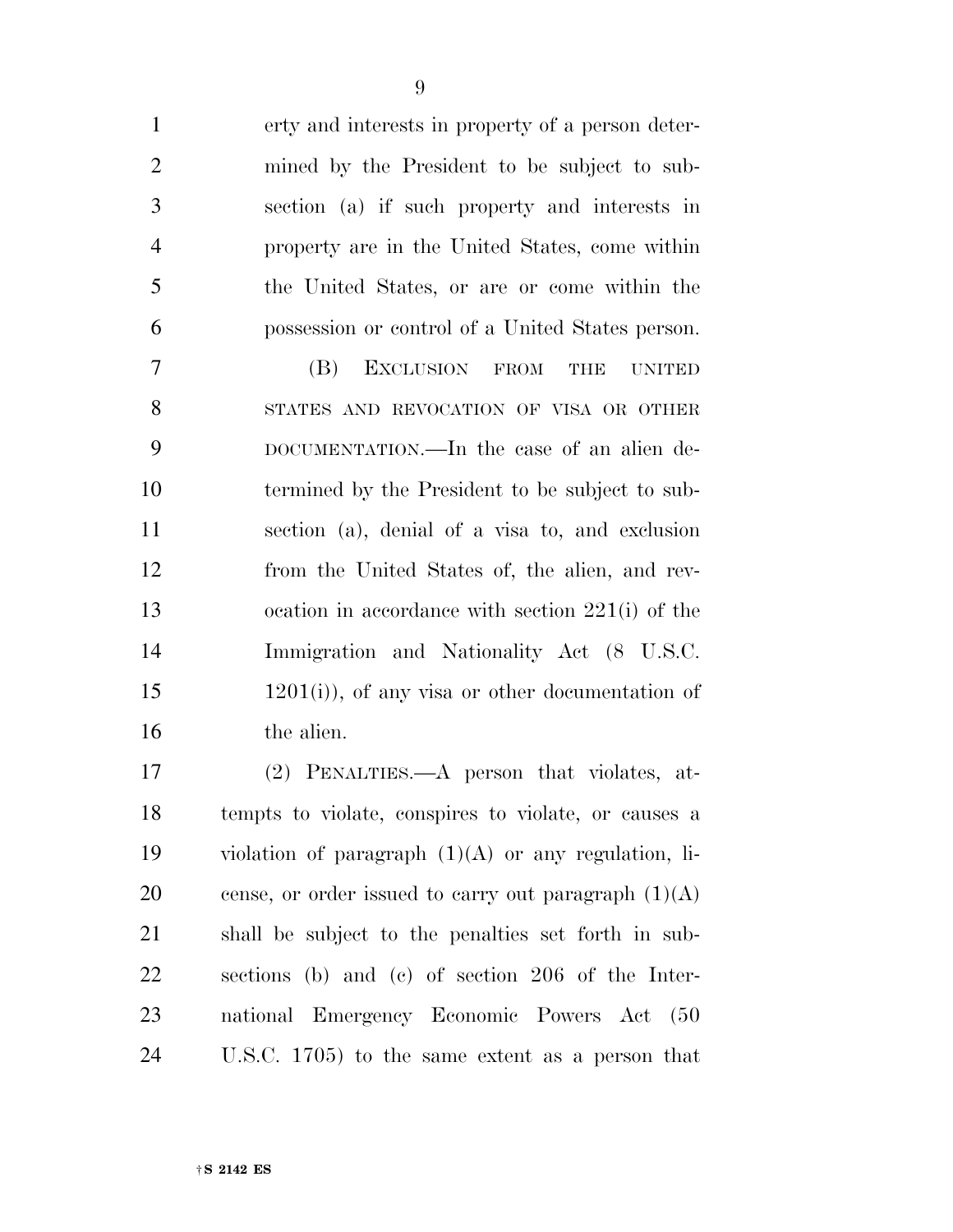| $\mathbf{1}$   | erty and interests in property of a person deter-    |
|----------------|------------------------------------------------------|
| $\mathfrak{2}$ | mined by the President to be subject to sub-         |
| 3              | section (a) if such property and interests in        |
| $\overline{4}$ | property are in the United States, come within       |
| 5              | the United States, or are or come within the         |
| 6              | possession or control of a United States person.     |
| $\overline{7}$ | EXCLUSION FROM<br>(B)<br><b>THE</b><br><b>UNITED</b> |
| 8              | STATES AND REVOCATION OF VISA OR OTHER               |
| 9              | DOCUMENTATION.—In the case of an alien de-           |
| 10             | termined by the President to be subject to sub-      |
| 11             | section (a), denial of a visa to, and exclusion      |
| 12             | from the United States of, the alien, and rev-       |
| 13             | ocation in accordance with section $221(i)$ of the   |
| 14             | Immigration and Nationality Act (8 U.S.C.            |
| 15             | $(1201(i))$ , of any visa or other documentation of  |
| 16             | the alien.                                           |
| 17             | (2) PENALTIES.—A person that violates, at-           |
| 18             | tempts to violate, conspires to violate, or causes a |

 tempts to violate, conspires to violate, or causes a violation of paragraph (1)(A) or any regulation, li-20 cense, or order issued to carry out paragraph  $(1)(A)$  shall be subject to the penalties set forth in sub- sections (b) and (c) of section 206 of the Inter- national Emergency Economic Powers Act (50 U.S.C. 1705) to the same extent as a person that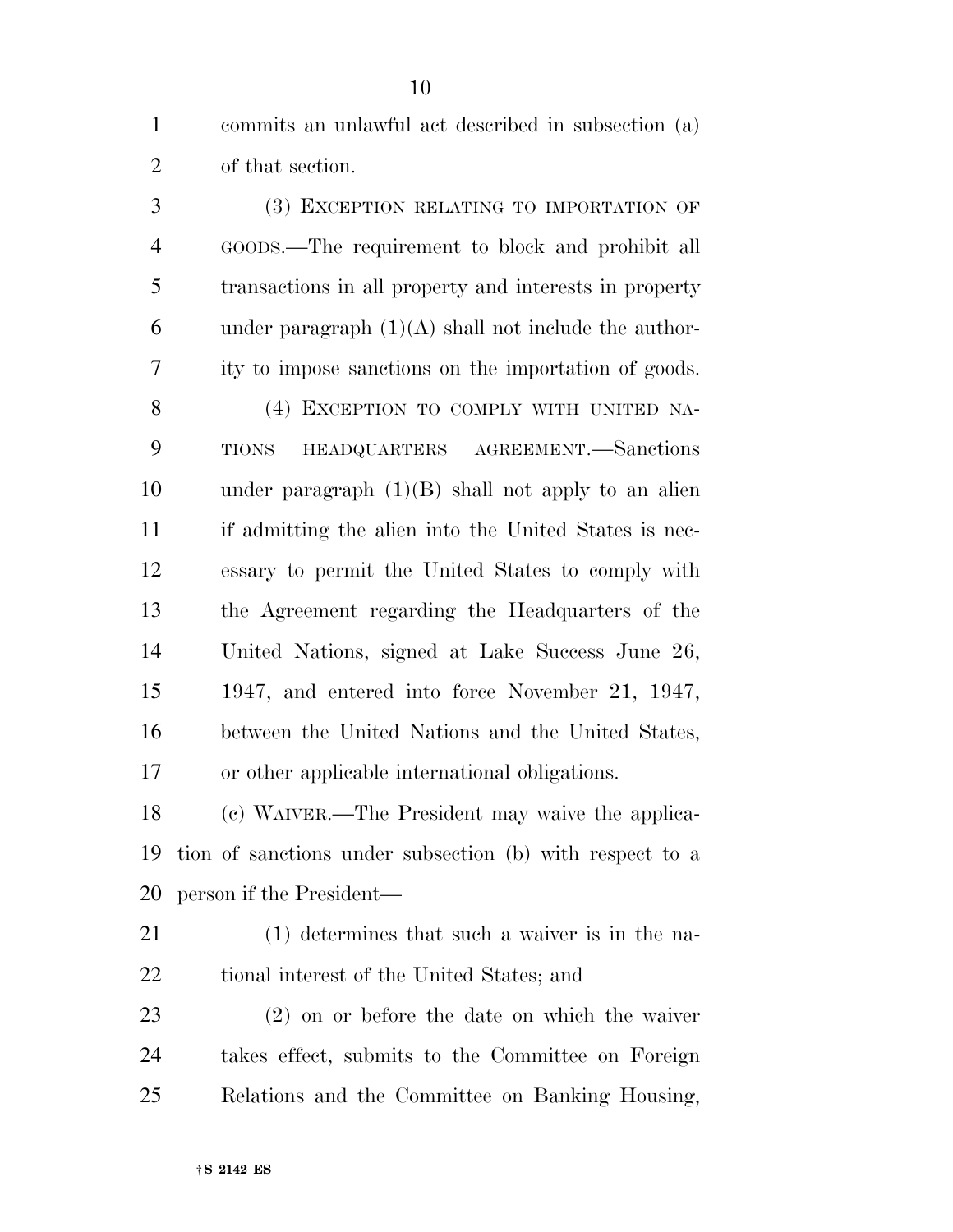commits an unlawful act described in subsection (a) of that section.

 (3) EXCEPTION RELATING TO IMPORTATION OF GOODS.—The requirement to block and prohibit all transactions in all property and interests in property 6 under paragraph  $(1)(A)$  shall not include the author- ity to impose sanctions on the importation of goods. 8 (4) EXCEPTION TO COMPLY WITH UNITED NA- TIONS HEADQUARTERS AGREEMENT.—Sanctions 10 under paragraph  $(1)(B)$  shall not apply to an alien if admitting the alien into the United States is nec- essary to permit the United States to comply with the Agreement regarding the Headquarters of the United Nations, signed at Lake Success June 26, 1947, and entered into force November 21, 1947, between the United Nations and the United States, or other applicable international obligations.

 (c) WAIVER.—The President may waive the applica- tion of sanctions under subsection (b) with respect to a person if the President—

 (1) determines that such a waiver is in the na-tional interest of the United States; and

 (2) on or before the date on which the waiver takes effect, submits to the Committee on Foreign Relations and the Committee on Banking Housing,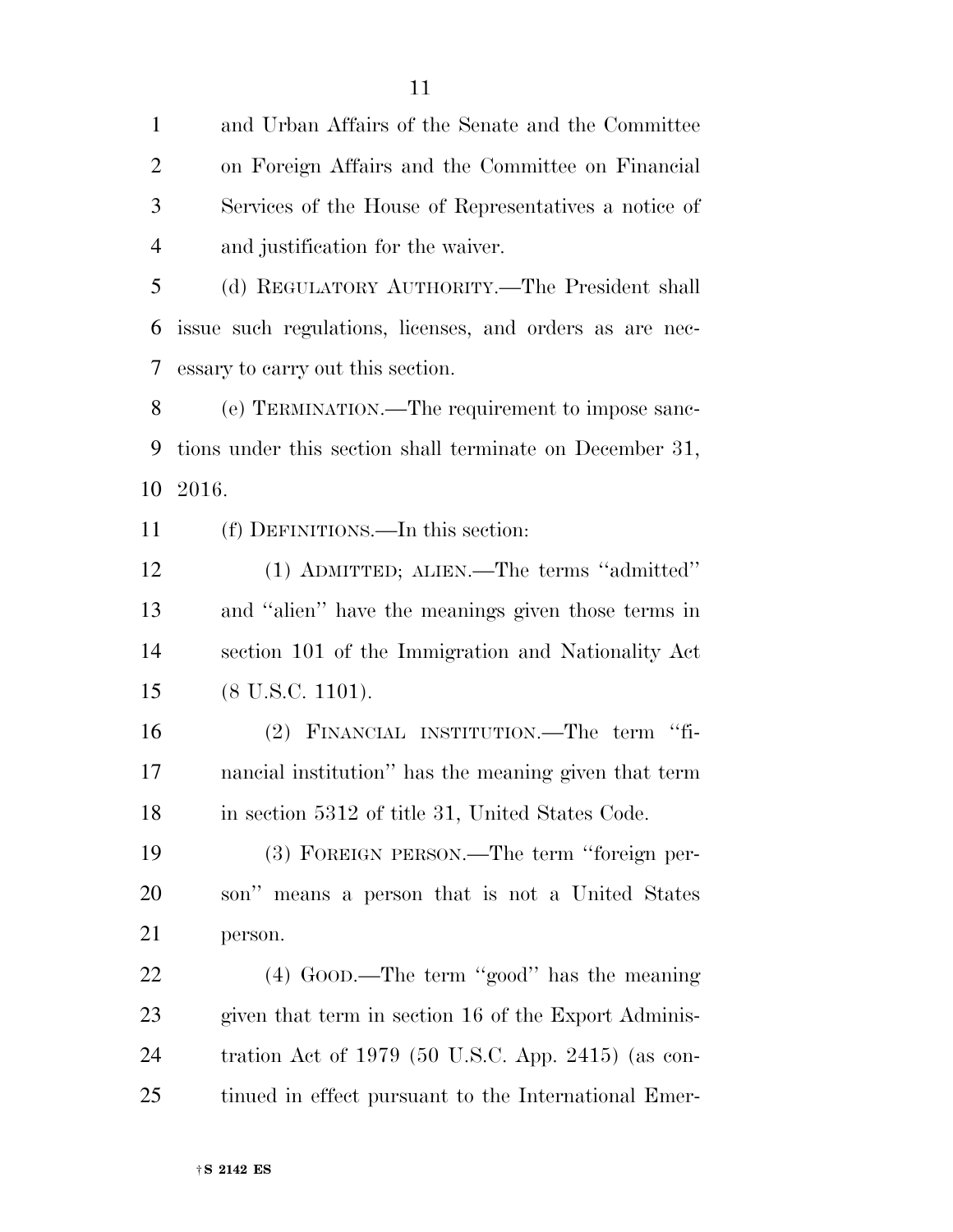and Urban Affairs of the Senate and the Committee on Foreign Affairs and the Committee on Financial Services of the House of Representatives a notice of and justification for the waiver. (d) REGULATORY AUTHORITY.—The President shall issue such regulations, licenses, and orders as are nec- essary to carry out this section. (e) TERMINATION.—The requirement to impose sanc-

 tions under this section shall terminate on December 31, 2016.

(f) DEFINITIONS.—In this section:

 (1) ADMITTED; ALIEN.—The terms ''admitted'' and ''alien'' have the meanings given those terms in section 101 of the Immigration and Nationality Act (8 U.S.C. 1101).

 (2) FINANCIAL INSTITUTION.—The term ''fi- nancial institution'' has the meaning given that term 18 in section 5312 of title 31, United States Code.

 (3) FOREIGN PERSON.—The term ''foreign per- son'' means a person that is not a United States person.

 (4) GOOD.—The term ''good'' has the meaning given that term in section 16 of the Export Adminis- tration Act of 1979 (50 U.S.C. App. 2415) (as con-tinued in effect pursuant to the International Emer-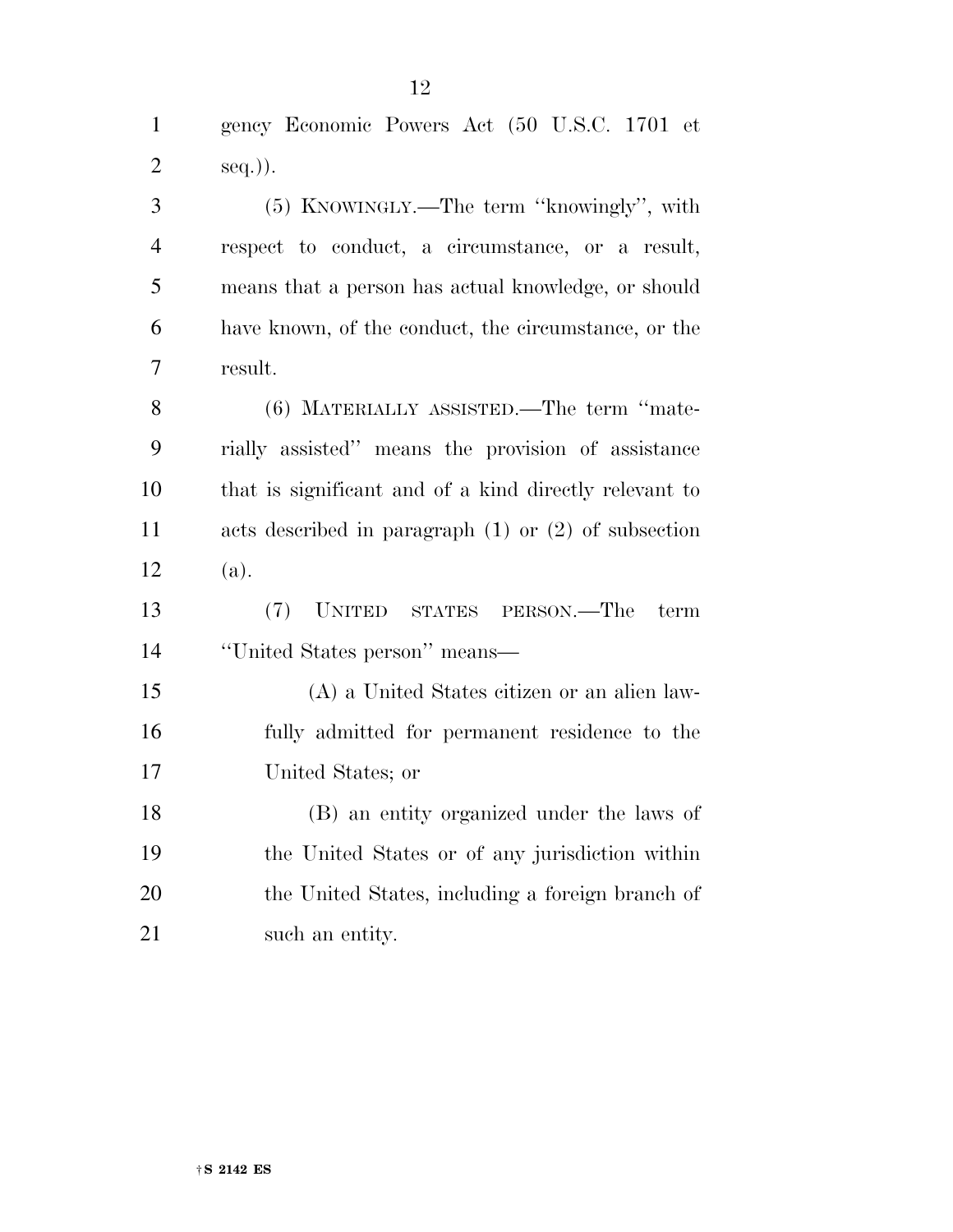gency Economic Powers Act (50 U.S.C. 1701 et seq.)). (5) KNOWINGLY.—The term ''knowingly'', with respect to conduct, a circumstance, or a result, means that a person has actual knowledge, or should have known, of the conduct, the circumstance, or the result. (6) MATERIALLY ASSISTED.—The term ''mate- rially assisted'' means the provision of assistance that is significant and of a kind directly relevant to acts described in paragraph (1) or (2) of subsection (a). (7) UNITED STATES PERSON.—The term ''United States person'' means— (A) a United States citizen or an alien law- fully admitted for permanent residence to the United States; or (B) an entity organized under the laws of the United States or of any jurisdiction within the United States, including a foreign branch of

21 such an entity.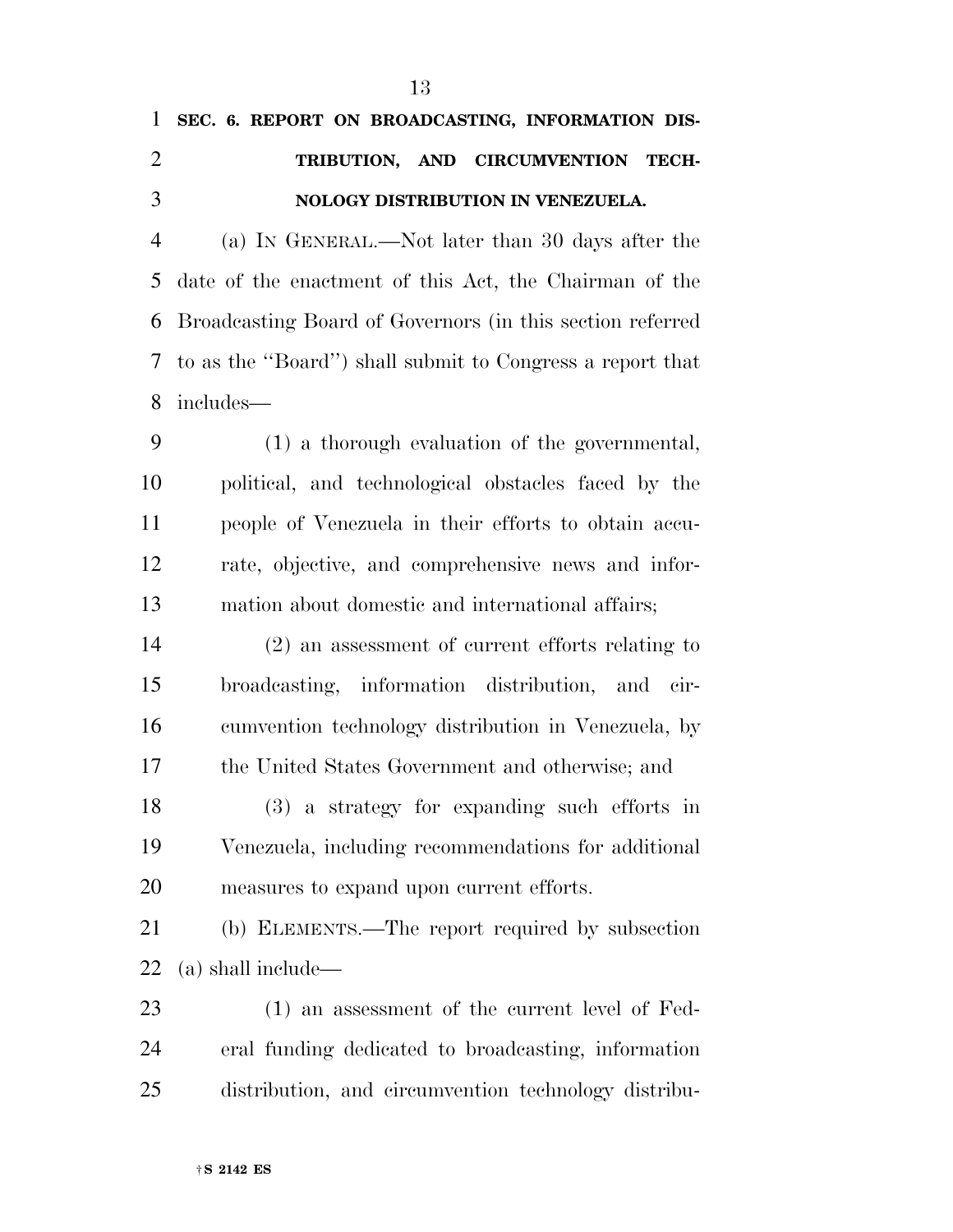|               |  | 1 SEC. 6. REPORT ON BROADCASTING, INFORMATION DIS- |  |
|---------------|--|----------------------------------------------------|--|
| $\mathcal{D}$ |  | TRIBUTION, AND CIRCUMVENTION TECH-                 |  |
| $\mathcal{R}$ |  | NOLOGY DISTRIBUTION IN VENEZUELA.                  |  |
|               |  |                                                    |  |

 (a) IN GENERAL.—Not later than 30 days after the date of the enactment of this Act, the Chairman of the Broadcasting Board of Governors (in this section referred to as the ''Board'') shall submit to Congress a report that includes—

 (1) a thorough evaluation of the governmental, political, and technological obstacles faced by the people of Venezuela in their efforts to obtain accu- rate, objective, and comprehensive news and infor-mation about domestic and international affairs;

 (2) an assessment of current efforts relating to broadcasting, information distribution, and cir- cumvention technology distribution in Venezuela, by the United States Government and otherwise; and

 (3) a strategy for expanding such efforts in Venezuela, including recommendations for additional measures to expand upon current efforts.

 (b) ELEMENTS.—The report required by subsection (a) shall include—

 (1) an assessment of the current level of Fed- eral funding dedicated to broadcasting, information distribution, and circumvention technology distribu-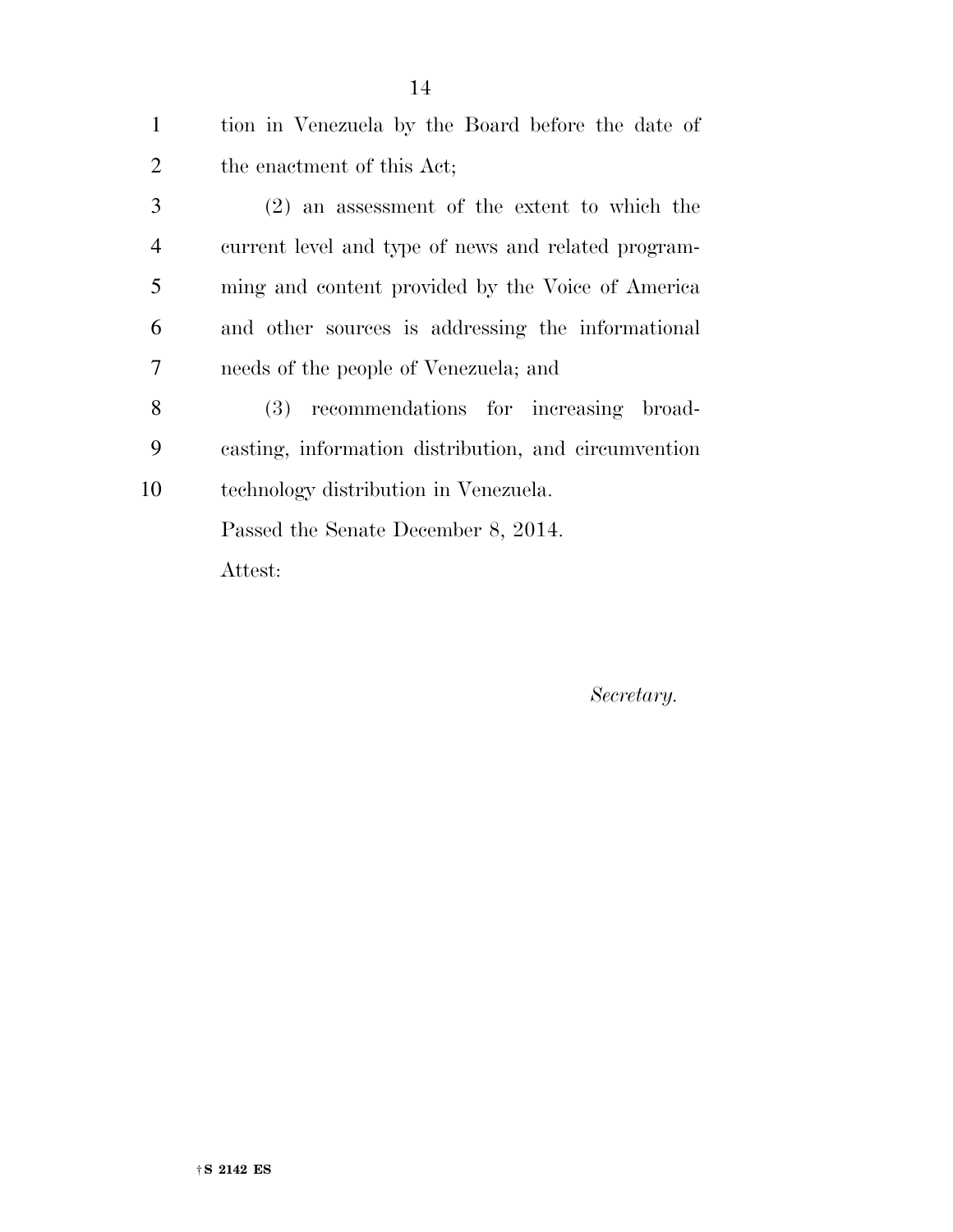| $\mathbf{1}$   | tion in Venezuela by the Board before the date of    |  |  |  |  |
|----------------|------------------------------------------------------|--|--|--|--|
| $\overline{2}$ | the enactment of this Act;                           |  |  |  |  |
| 3              | $(2)$ an assessment of the extent to which the       |  |  |  |  |
| $\overline{4}$ | current level and type of news and related program-  |  |  |  |  |
| 5              | ming and content provided by the Voice of America    |  |  |  |  |
| 6              | and other sources is addressing the informational    |  |  |  |  |
| 7              | needs of the people of Venezuela; and                |  |  |  |  |
| 8              | recommendations for increasing broad-<br>(3)         |  |  |  |  |
| 9              | casting, information distribution, and circumvention |  |  |  |  |
| 10             | technology distribution in Venezuela.                |  |  |  |  |
|                | Passed the Senate December 8, 2014.                  |  |  |  |  |
|                | Attest:                                              |  |  |  |  |
|                |                                                      |  |  |  |  |

*Secretary.*